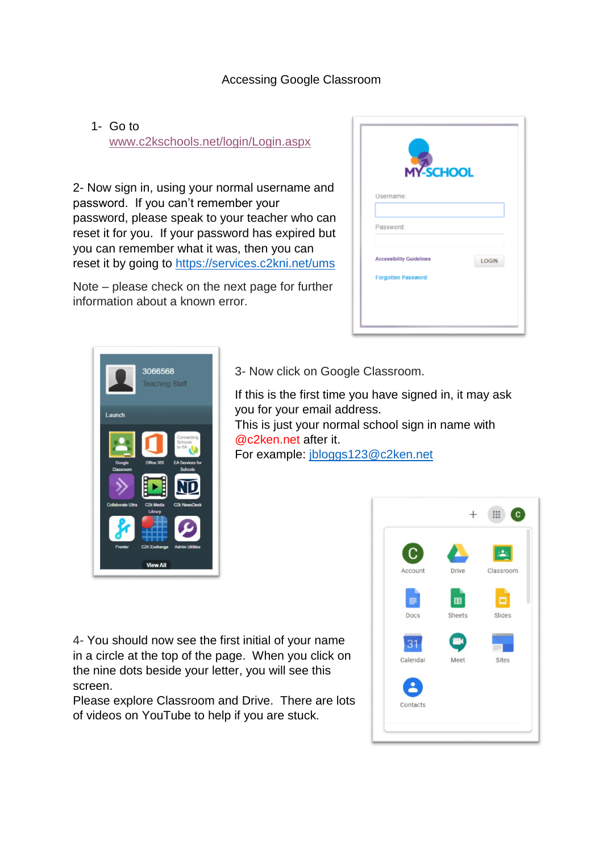## Accessing Google Classroom

1- Go to [www.c2kschools.net/login/Login.aspx](http://www.c2kschools.net/login/Login.aspx)

2- Now sign in, using your normal username and password. If you can't remember your password, please speak to your teacher who can reset it for you. If your password has expired but you can remember what it was, then you can reset it by going to<https://services.c2kni.net/ums>

Note – please check on the next page for further information about a known error.

| <b>MY-SCHOOL</b>                |              |
|---------------------------------|--------------|
| Username:                       |              |
| Password:                       |              |
| <b>Accessibility Guidelines</b> | <b>LOGIN</b> |
| <b>Forgotten Password</b>       |              |



3- Now click on Google Classroom.

If this is the first time you have signed in, it may ask you for your email address. This is just your normal school sign in name with @c2ken.net after it. For example: jbloggs123@c2ken.net

4- You should now see the first initial of your name in a circle at the top of the page. When you click on the nine dots beside your letter, you will see this screen.

Please explore Classroom and Drive. There are lots of videos on YouTube to help if you are stuck.